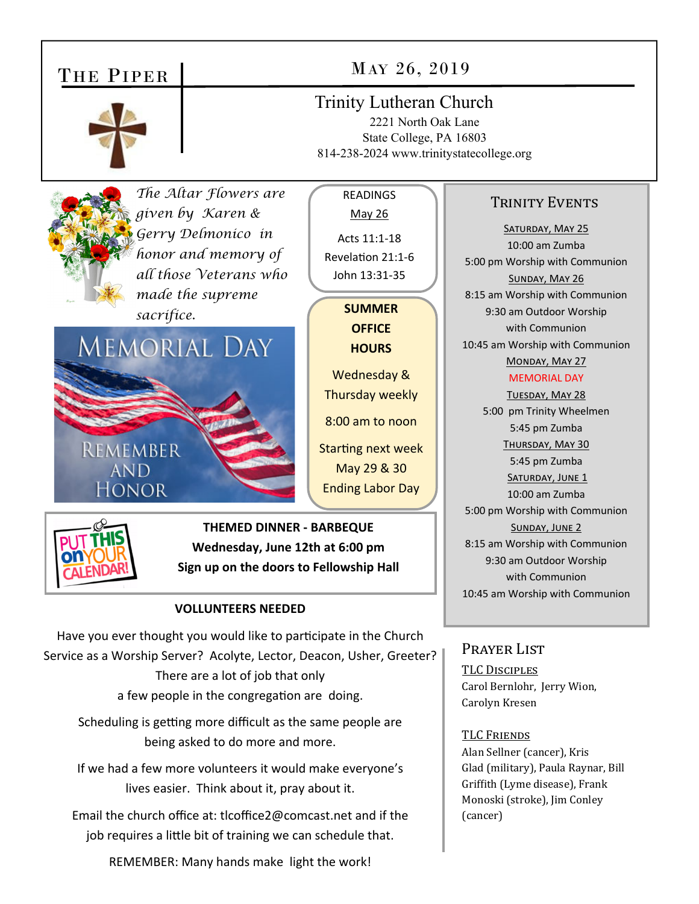## THE PIPER



## MAY 26, 2019

### Trinity Lutheran Church

2221 North Oak Lane State College, PA 16803 814-238-2024 www.trinitystatecollege.org



*The Altar Flowers are given by Karen & Gerry Delmonico in honor and memory of all those Veterans who made the supreme sacrifice.* 



Acts 11:1‐18 RevelaƟon 21:1‐6 John 13:31‐35 **SUMMER OFFICE HOURS**  Wednesday & Thursday weekly 8:00 am to noon Starting next week May 29 & 30

Ending Labor Day

READINGS May 26



**THEMED DINNER ‐ BARBEQUE Wednesday, June 12th at 6:00 pm Sign up on the doors to Fellowship Hall** 

#### **VOLLUNTEERS NEEDED**

Have you ever thought you would like to participate in the Church Service as a Worship Server? Acolyte, Lector, Deacon, Usher, Greeter? There are a lot of job that only a few people in the congregation are doing.

Scheduling is getting more difficult as the same people are being asked to do more and more.

If we had a few more volunteers it would make everyone's lives easier. Think about it, pray about it.

Email the church office at: tlcoffice2@comcast.net and if the job requires a little bit of training we can schedule that.

REMEMBER: Many hands make light the work!

#### TRINITY EVENTS

SATURDAY, MAY 25 10:00 am Zumba 5:00 pm Worship with Communion SUNDAY, MAY 26 8:15 am Worship with Communion 9:30 am Outdoor Worship with Communion 10:45 am Worship with Communion MONDAY, MAY 27

#### MEMORIAL DAY

TUESDAY, MAY 28 5:00 pm Trinity Wheelmen 5:45 pm Zumba THURSDAY, MAY 30 5:45 pm Zumba SATURDAY, JUNE 1 10:00 am Zumba 5:00 pm Worship with Communion SUNDAY, JUNE 2 8:15 am Worship with Communion 9:30 am Outdoor Worship with Communion 10:45 am Worship with Communion

### Prayer List

TLC DISCIPLES Carol Bernlohr, Jerry Wion, Carolyn Kresen

#### TLC FRIENDS

Alan Sellner (cancer), Kris Glad (military), Paula Raynar, Bill Griffith (Lyme disease), Frank Monoski (stroke), Jim Conley (cancer)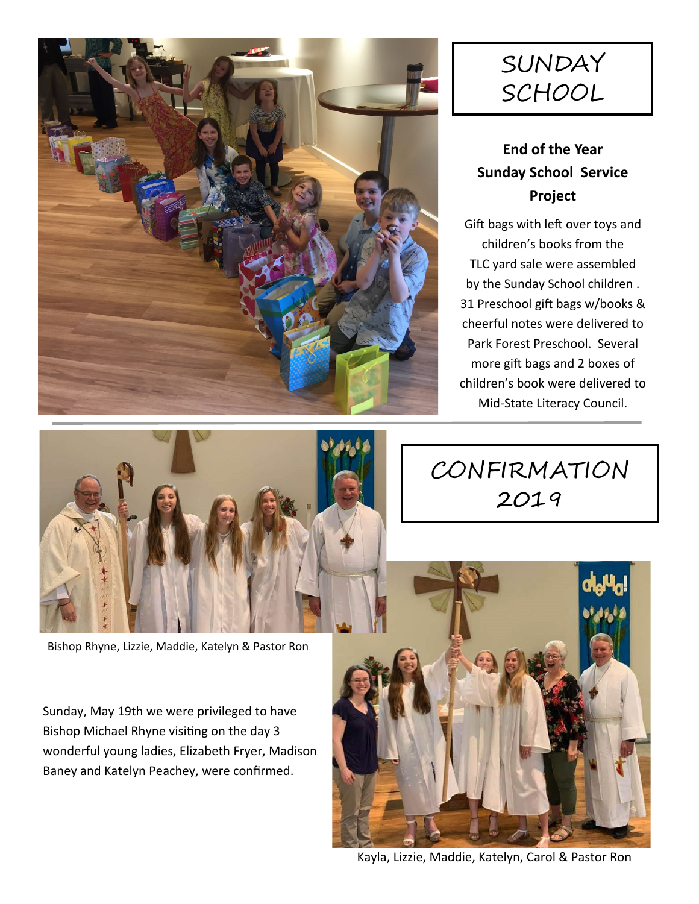

# SUNDAY SCHOOL

## **End of the Year Sunday School Service Project**

Gift bags with left over toys and children's books from the TLC yard sale were assembled by the Sunday School children . 31 Preschool gift bags w/books & cheerful notes were delivered to Park Forest Preschool. Several more gift bags and 2 boxes of children's book were delivered to Mid‐State Literacy Council.



# CONFIRMATION 2019

Bishop Rhyne, Lizzie, Maddie, Katelyn & Pastor Ron

Sunday, May 19th we were privileged to have Bishop Michael Rhyne visiting on the day 3 wonderful young ladies, Elizabeth Fryer, Madison Baney and Katelyn Peachey, were confirmed.



Kayla, Lizzie, Maddie, Katelyn, Carol & Pastor Ron